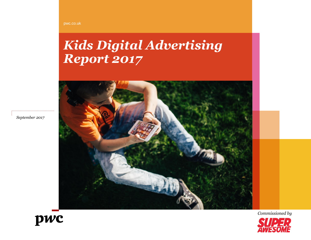#### pwc.co.uk

# *Kids Digital Advertising Report 2017*



*September 2017*



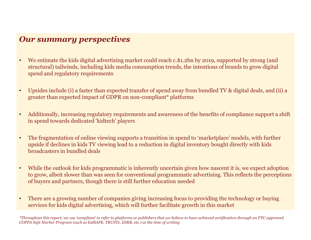# *Our summary perspectives*

- We estimate the kids digital advertising market could reach c.\$1.2bn by 2019, supported by strong (and structural) tailwinds, including kids media consumption trends, the intentions of brands to grow digital spend and regulatory requirements
- Upsides include (i) a faster than expected transfer of spend away from bundled TV & digital deals, and (ii) a greater than expected impact of GDPR on non-compliant\* platforms
- Additionally, increasing regulatory requirements and awareness of the benefits of compliance support a shift in spend towards dedicated 'kidtech' players
- The fragmentation of online viewing supports a transition in spend to 'marketplace' models, with further upside if declines in kids TV viewing lead to a reduction in digital inventory bought directly with kids broadcasters in bundled deals
- While the outlook for kids programmatic is inherently uncertain given how nascent it is, we expect adoption to grow, albeit slower than was seen for conventional programmatic advertising. This reflects the perceptions of buyers and partners, though there is still further education needed
- There are a growing number of companies giving increasing focus to providing the technology or buying services for kids digital advertising, which will further facilitate growth in this market

*\*Throughout this report, we use 'compliant' to refer to platforms or publishers that we believe to have achieved certification through an FTC-approved COPPA Safe Harbor Program (such as kidSAFE, TRUSTe, ESRB, etc.) at the time of writing*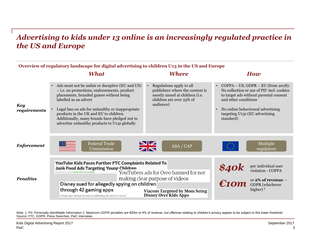# *Advertising to kids under 13 online is an increasingly regulated practice in the US and Europe*

| Overview of regulatory landscape for digital advertising to children U13 in the US and Europe |                                                                                                                                                                                                                                                                                                                                                                   |                                                                                                                                                |                                                                                                                                                                                                                                                                 |  |  |  |  |  |  |  |
|-----------------------------------------------------------------------------------------------|-------------------------------------------------------------------------------------------------------------------------------------------------------------------------------------------------------------------------------------------------------------------------------------------------------------------------------------------------------------------|------------------------------------------------------------------------------------------------------------------------------------------------|-----------------------------------------------------------------------------------------------------------------------------------------------------------------------------------------------------------------------------------------------------------------|--|--|--|--|--|--|--|
|                                                                                               | What                                                                                                                                                                                                                                                                                                                                                              | <b>Where</b>                                                                                                                                   | How                                                                                                                                                                                                                                                             |  |  |  |  |  |  |  |
| <b>Key</b><br>requirements                                                                    | Ads must not be unfair or deceptive (EU and US)<br>- i.e. no promotions, endorsements, product<br>placements, branded games without being<br>labelled as an advert<br>Legal ban on ads for unhealthy or inappropriate<br>products in the UK and EU to children.<br>Additionally, many brands have pledged not to<br>advertise unhealthy products to U13s globally | Regulations apply to all<br>publishers where the content is<br>mostly aimed at children (i.e.<br>children are over 25% of<br>audience)         | COPPA - US, GDPR - EU (from 2018):<br>$\bullet$<br>No collection or use of PII <sup>1</sup> incl. cookies<br>to target ads without parental consent<br>and other conditions<br>No online behavioural advertising<br>targeting U13s (EU advertising<br>standard) |  |  |  |  |  |  |  |
| <b>Enforcement</b>                                                                            | <b>Federal Trade</b><br>Commission                                                                                                                                                                                                                                                                                                                                | $\frac{N}{N}$<br>ASA / CAP                                                                                                                     | Multiple<br>regulators                                                                                                                                                                                                                                          |  |  |  |  |  |  |  |
| <b>Penalties</b>                                                                              | <b>YouTube Kids Faces Further FTC Complaints Related To</b><br><b>Junk Food Ads Targeting Young Children</b><br>Posted Nov 24, 2015 by Sarah Perez (@sarahintampa)<br>Disney sued for allegedly spying on children<br>through 42 gaming apps<br>Disney says 'we look forward to defending this action in court'                                                   | YouTubers ads for Oreo banned for not<br>making clear purpose of videos<br><b>Viacom Targeted by Mom Suing</b><br><b>Disney Over Kids Apps</b> | per individual user<br>\$40k<br>E10m<br>violation - COPPA<br>or 2% of revenue -<br>GDPR (whichever<br>higher) <sup>2</sup>                                                                                                                                      |  |  |  |  |  |  |  |

Source: FTC, GDPR, Press Searches, PwC interviews Note: 1. PII: Personally Identifiable Information 2. Maximum GDPR penalties are €20m or 4% of revenue, but offences relating to children's privacy appear to be subject to this lower threshold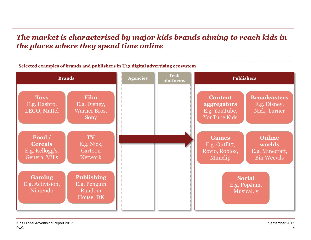# *The market is characterised by major kids brands aiming to reach kids in the places where they spend time online*



**Selected examples of brands and publishers in U13 digital advertising ecosystem**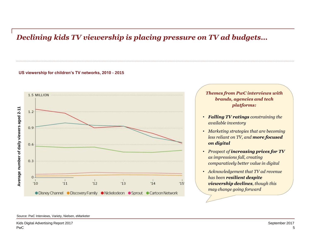# *Declining kids TV viewership is placing pressure on TV ad budgets…*

### **US viewership for children's TV networks, 2010 - 2015**



*Themes from PwC interviews with brands, agencies and tech platforms:*

- *Falling TV ratings constraining the available inventory*
- *Marketing strategies that are becoming less reliant on TV, and more focused on digital*
- *Prospect of increasing prices for TV as impressions fall, creating comparatively better value in digital*
- *Acknowledgement that TV ad revenue has been resilient despite viewership declines, though this may change going forward*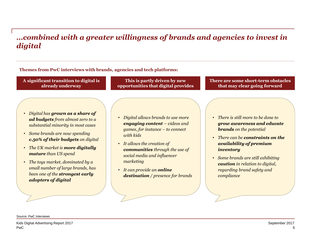### *…combined with a greater willingness of brands and agencies to invest in digital*

### **Themes from PwC interviews with brands, agencies and tech platforms:**

**A significant transition to digital is already underway**

- *Digital has grown as a share of ad budgets from almost zero to a substantial minority in most cases*
- *Some brands are now spending c.50% of their budgets on digital*
- *The UK market is more digitally mature than US spend*
- *The toys market, dominated by a small number of large brands, has been one of the strongest early adopters of digital*

**This is partly driven by new opportunities that digital provides**

### • *Digital allows brands to use more engaging content – videos and games, for instance – to connect with kids*

- *It allows the creation of communities through the use of social media and influencer marketing*
- *It can provide an online destination / presence for brands*

### **There are some short-term obstacles that may clear going forward**

- *There is still more to be done to grow awareness and educate brands on the potential*
- *There can be constraints on the availability of premium inventory*
- *Some brands are still exhibiting caution in relation to digital, regarding brand safety and compliance*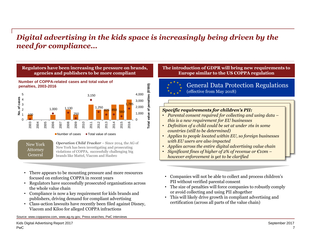# *Digital advertising in the kids space is increasingly being driven by the need for compliance…*



 $\blacksquare$  Number of cases  $\blacklozenge$  Total value of cases

New York **Attorney** General

*Operation Child Tracker* – Since 2014, the AG of New York has been investigating and prosecuting violations of COPPA, successfully challenging big brands like Mattel, Viacom and Hasbro

- There appears to be mounting pressure and more resources focused on enforcing COPPA in recent years
- Regulators have successfully prosecuted organisations across the whole value chain
- Compliance is now a key requirement for kids brands and publishers, driving demand for compliant advertising
- Class-action lawsuits have recently been filed against Disney, Viacom and Kiloo for alleged COPPA infractions

Source: www.coppanow.com, www.ag.ny.gov, Press searches, PwC interviews

### **The introduction of GDPR will bring new requirements to Europe similar to the US COPPA regulation**



### General Data Protection Regulations (effective from May 2018)

### *Specific requirements for children's PII:*

- *Parental consent required for collecting and using data – this is a new requirement for EU businesses*
- *Definition of a child could be set at under 16s in some countries (still to be determined)*
- *Applies to people located within EU, so foreign businesses with EU users are also impacted*
- *Applies across the entire digital advertising value chain*
- *Significant fines of higher of 2% of revenue or €10m – however enforcement is yet to be clarified*
- Companies will not be able to collect and process children's PII without verified parental consent
- The size of penalties will force companies to robustly comply or avoid collecting and using PII altogether
- This will likely drive growth in compliant advertising and certification (across all parts of the value chain)

7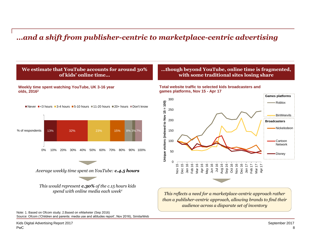# *…and a shift from publisher-centric to marketplace-centric advertising*

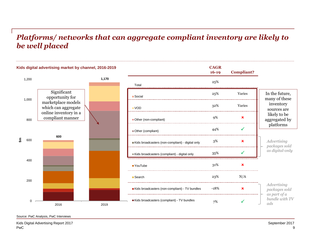### *Platforms/ networks that can aggregate compliant inventory are likely to be well placed*



Source: PwC Analysis, PwC Interviews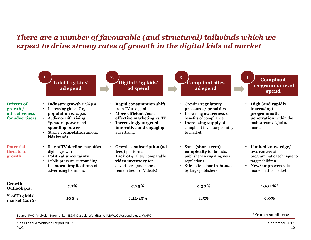### *There are a number of favourable (and structural) tailwinds which we expect to drive strong rates of growth in the digital kids ad market*



Source: PwC Analysis, Euromonitor, E&M Outlook, WorldBank, IAB/PwC Adspend study, WARC \*From a small base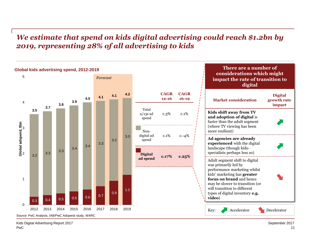## *We estimate that spend on kids digital advertising could reach \$1.2bn by 2019, representing 28% of all advertising to kids*

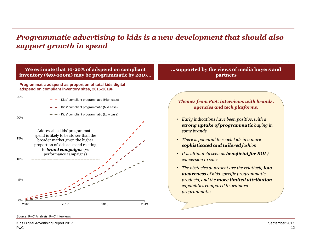### *Programmatic advertising to kids is a new development that should also support growth in spend*



Source: PwC Analysis, PwC Interviews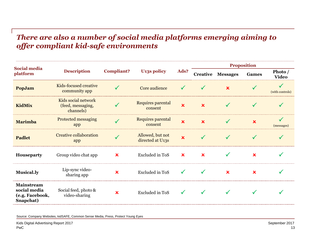## *There are also a number of social media platforms emerging aiming to offer compliant kid-safe environments*

| <b>Social media</b><br>platform                                   | <b>Description</b>                                    | <b>Compliant?</b>         | <b>U13s policy</b>                   | Ads?                      | <b>Proposition</b> |                          |              |                         |
|-------------------------------------------------------------------|-------------------------------------------------------|---------------------------|--------------------------------------|---------------------------|--------------------|--------------------------|--------------|-------------------------|
|                                                                   |                                                       |                           |                                      |                           |                    | <b>Creative Messages</b> | <b>Games</b> | Photo /<br><b>Video</b> |
| PopJam                                                            | Kids-focused creative<br>community app                |                           | Core audience                        |                           |                    | $\mathbf x$              |              | (with controls)         |
| <b>KidMix</b>                                                     | Kids social network<br>(feed, messaging,<br>channels) |                           | Requires parental<br>consent         | $\overline{\mathbf{x}}$   |                    |                          |              |                         |
| <b>Marimba</b>                                                    | <b>Protected messaging</b><br>app                     |                           | Requires parental<br>consent         | x                         |                    |                          | x            | (messages)              |
| <b>Padlet</b>                                                     | <b>Creative collaboration</b><br>app                  |                           | Allowed, but not<br>directed at U13s | $\mathbf x$               |                    |                          |              |                         |
| Houseparty                                                        | Group video chat app                                  | $\boldsymbol{\mathsf{x}}$ | Excluded in ToS                      | $\boldsymbol{\mathsf{x}}$ |                    |                          | х            |                         |
| <b>Musical.ly</b>                                                 | Lip-sync video-<br>sharing app                        | $\boldsymbol{\mathsf{x}}$ | Excluded in ToS                      |                           |                    | $\mathbf x$              | x            |                         |
| <b>Mainstream</b><br>social media<br>(e.g. Facebook,<br>Snapchat) | Social feed, photo &<br>video-sharing                 | $\boldsymbol{\mathsf{x}}$ | <b>Excluded in ToS</b>               |                           |                    |                          |              |                         |

Source: Company Websites, kidSAFE, Common Sense Media, Press, Protect Young Eyes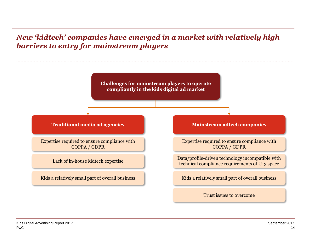# *New 'kidtech' companies have emerged in a market with relatively high barriers to entry for mainstream players*

**Challenges for mainstream players to operate compliantly in the kids digital ad market**

Expertise required to ensure compliance with COPPA / GDPR

### **Traditional media ad agencies Mainstream adtech companies**

Expertise required to ensure compliance with COPPA / GDPR

Lack of in-house kidtech expertise Data/profile-driven technology incompatible with technical compliance requirements of U13 space

Kids a relatively small part of overall business Kids a relatively small part of overall business

Trust issues to overcome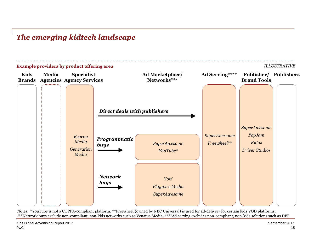# *The emerging kidtech landscape*



Notes: \*YouTube is not a COPPA-compliant platform; \*\*Freewheel (owned by NBC Universal) is used for ad-delivery for certain kids VOD platforms; \*\*\*Network buys exclude non-compliant, non-kids networks such as Venatus Media; \*\*\*\*Ad serving excludes non-compliant, non-kids solutions such as DFP